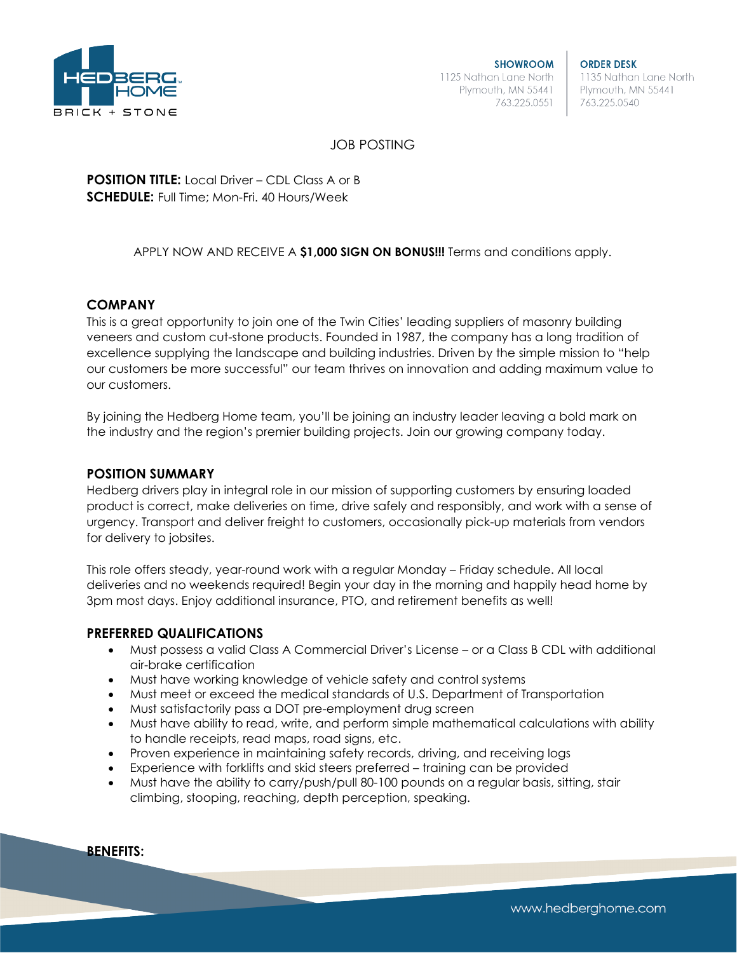

**ORDER DESK** 1135 Nathan Lane North Plymouth, MN 55441 763.225.0540

# JOB POSTING

**POSITION TITLE:** Local Driver – CDL Class A or B **SCHEDULE:** Full Time; Mon-Fri. 40 Hours/Week

## APPLY NOW AND RECEIVE A **\$1,000 SIGN ON BONUS!!!** Terms and conditions apply.

## **COMPANY**

This is a great opportunity to join one of the Twin Cities' leading suppliers of masonry building veneers and custom cut-stone products. Founded in 1987, the company has a long tradition of excellence supplying the landscape and building industries. Driven by the simple mission to "help our customers be more successful" our team thrives on innovation and adding maximum value to our customers.

By joining the Hedberg Home team, you'll be joining an industry leader leaving a bold mark on the industry and the region's premier building projects. Join our growing company today.

### **POSITION SUMMARY**

Hedberg drivers play in integral role in our mission of supporting customers by ensuring loaded product is correct, make deliveries on time, drive safely and responsibly, and work with a sense of urgency. Transport and deliver freight to customers, occasionally pick-up materials from vendors for delivery to jobsites.

This role offers steady, year-round work with a regular Monday – Friday schedule. All local deliveries and no weekends required! Begin your day in the morning and happily head home by 3pm most days. Enjoy additional insurance, PTO, and retirement benefits as well!

### **PREFERRED QUALIFICATIONS**

- Must possess a valid Class A Commercial Driver's License or a Class B CDL with additional air-brake certification
- Must have working knowledge of vehicle safety and control systems
- Must meet or exceed the medical standards of U.S. Department of Transportation
- Must satisfactorily pass a DOT pre-employment drug screen
- Must have ability to read, write, and perform simple mathematical calculations with ability to handle receipts, read maps, road signs, etc.
- Proven experience in maintaining safety records, driving, and receiving logs
- Experience with forklifts and skid steers preferred training can be provided
- Must have the ability to carry/push/pull 80-100 pounds on a regular basis, sitting, stair climbing, stooping, reaching, depth perception, speaking.

#### **BENEFITS:**